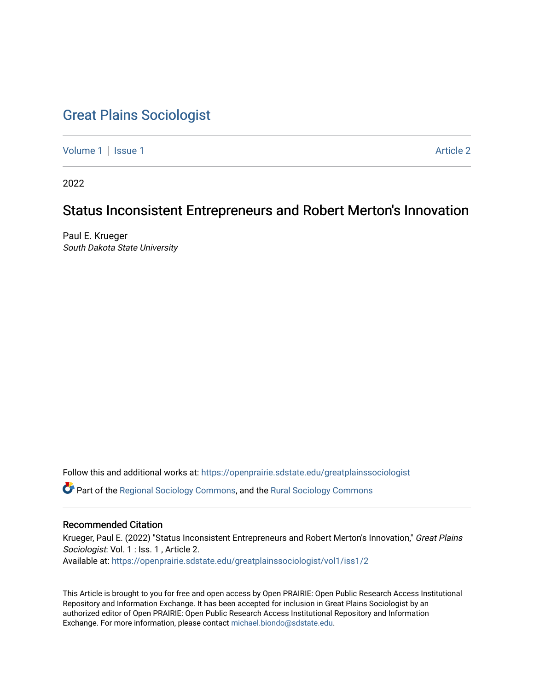# [Great Plains Sociologist](https://openprairie.sdstate.edu/greatplainssociologist)

[Volume 1](https://openprairie.sdstate.edu/greatplainssociologist/vol1) | [Issue 1](https://openprairie.sdstate.edu/greatplainssociologist/vol1/iss1) Article 2

2022

# Status Inconsistent Entrepreneurs and Robert Merton's Innovation

Paul E. Krueger South Dakota State University

Follow this and additional works at: [https://openprairie.sdstate.edu/greatplainssociologist](https://openprairie.sdstate.edu/greatplainssociologist?utm_source=openprairie.sdstate.edu%2Fgreatplainssociologist%2Fvol1%2Fiss1%2F2&utm_medium=PDF&utm_campaign=PDFCoverPages) 

Part of the [Regional Sociology Commons](http://network.bepress.com/hgg/discipline/427?utm_source=openprairie.sdstate.edu%2Fgreatplainssociologist%2Fvol1%2Fiss1%2F2&utm_medium=PDF&utm_campaign=PDFCoverPages), and the [Rural Sociology Commons](http://network.bepress.com/hgg/discipline/428?utm_source=openprairie.sdstate.edu%2Fgreatplainssociologist%2Fvol1%2Fiss1%2F2&utm_medium=PDF&utm_campaign=PDFCoverPages) 

## Recommended Citation

Krueger, Paul E. (2022) "Status Inconsistent Entrepreneurs and Robert Merton's Innovation," Great Plains Sociologist: Vol. 1 : Iss. 1, Article 2. Available at: [https://openprairie.sdstate.edu/greatplainssociologist/vol1/iss1/2](https://openprairie.sdstate.edu/greatplainssociologist/vol1/iss1/2?utm_source=openprairie.sdstate.edu%2Fgreatplainssociologist%2Fvol1%2Fiss1%2F2&utm_medium=PDF&utm_campaign=PDFCoverPages) 

This Article is brought to you for free and open access by Open PRAIRIE: Open Public Research Access Institutional Repository and Information Exchange. It has been accepted for inclusion in Great Plains Sociologist by an authorized editor of Open PRAIRIE: Open Public Research Access Institutional Repository and Information Exchange. For more information, please contact [michael.biondo@sdstate.edu.](mailto:michael.biondo@sdstate.edu)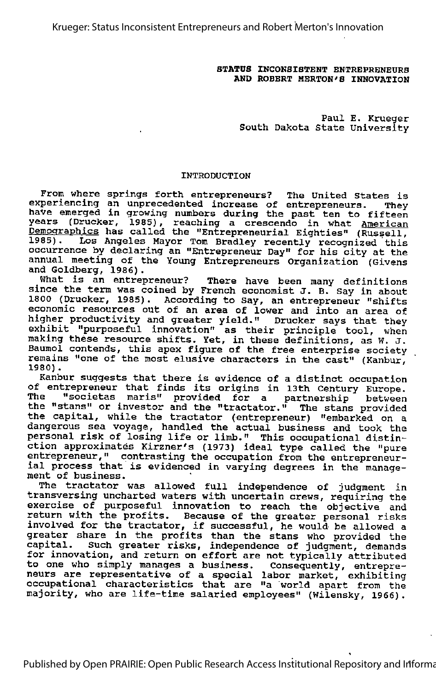Krueger: Status Inconsistent Entrepreneurs and Robert Merton's Innovation

STATUS INC0KSI8TENT ENTREPRENEURS AND ROBERT MERTON'S INNOVATION

> Paul E. Krueger South Dakota State University

#### INTRODUCTION

From where springs forth entrepreneurs? The United states is experiencing an unprecedented increase of entrepreneurs. They have emerged in growing numbers during the past ten to fifteen ware emerged in growing numbers during the past ten to fifteen<br>years (Drucker, 1985), reaching a crescendo in what American Telle (Bracher) 1989), readining a crescendo in what American<br>Demographics has called the "Entrepreneurial Eighties" (Russell, **Exhipped Interpreteur Communist Communist Communist Communist Communist Communist Communist Communist Communist**<br>1985). Los Angeles Mayor Tom Bradley recently recognized this occurrence by declaring an "Entrepreneur Day" for his city at the annual meeting of the Young Entrepreneurs Organization (Givens and Goldberg, 1986).

What is an entrepreneur? There have been many definitions since the term was coined by French economist J. B. Say in about 1800 (Drucker, 1985). According to Say, an entrepreneur "shifts economic resources out of an area of lower and into an area of higher productivity and greater yield." Drucker says that they exhibit "productivity dha greater yiera. Bracker says that they<br>exhibit "purposeful innovation" as their principle tool, when making these resource shifts. Yet, in these definitions, as W. J. Baumol contends, this apex figure of the free enterprise society remains "one of the most elusive characters in the cast" (Kanbur, 1980).

Kanbur suggests that there is evidence of <sup>a</sup> distinct occupation of entrepreneur that finds its origins in 13th Century Europe. The "societas maris" provided for a partnership between the "stans" or investor and the "tractator." The stans provided the capital, while the tractator (entrepreneur) "embarked on a dangerous sea voyage, handled the actual business and took the personal risk of losing life or limb." This occupational distin ction approximates Kirzner's (1973) ideal type called the "pure entrepreneur," contrasting the occupation from the entrepreneur ial process that is evidenced in varying degrees in the manage ment of business. ment of business.<br>The tractator was allowed full independence of judgment in

transversing uncharted waters with uncertain crews, requiring the exercise of purposeful innovation to reach the objective and return with the profits. Because of the greater personal risks involved for the tractator, if successful, he would be allowed <sup>a</sup> greater share in the profits than the stans who provided the capital. Such greater risks, independence of judgment, demands for innovation, and return on effort are not typically attributed<br>to one who simply manages a business. Consequently, entrepreto one who simply manages <sup>a</sup> business. Consequently, entrepre neurs are representative of <sup>a</sup> special labor market, exhibiting occupational characteristics that are "a world apart from the majority, who are life-time salaried employees" (Wilensky, 1966).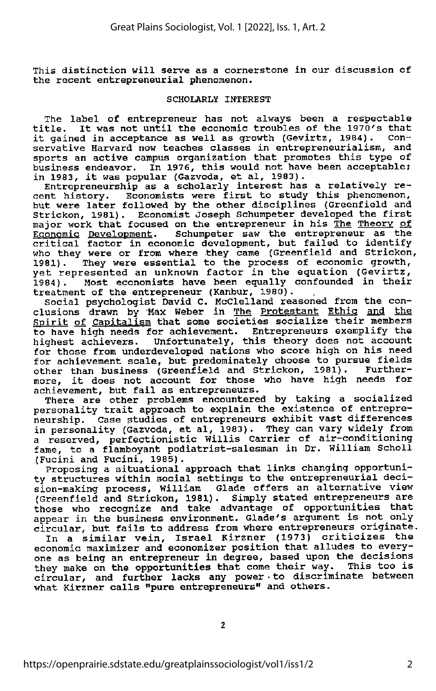This distinction will serve as <sup>a</sup> cornerstone in our discussion of the recent entrepreneurial phenomenon.

#### SCHOLARLY INTEREST

The label of entrepreneur has not always been <sup>a</sup> respectable title. It was not until the economic troubles of the 1970's that title. It was not until the economic troubles of the 1970's that<br>it gained in acceptance as well as growth (Gevirtz, 1984). Con servative Harvard now teaches classes in entrepreneurialism, and sports an active campus organization that promotes this type of business endeavor. In 1976, this would not have been acceptable; in 1983, it was popular (Gazvoda, et al, 1983). Entrepreneurship as <sup>a</sup> scholarly interest has <sup>a</sup> relatively re

cent history. Economists were first to study this phenomenon, but were later followed by the other disciplines (Greenfield and Strickon, 1981). Economist Joseph Schumpeter developed the first major work that focused on the entrepreneur in his The Theory of Economic Development. Schumpeter saw the entrepreneur as the<br>critical factor in economic development, but failed to identify who they were or from where they came (Greenfield and Strickon, 1981). They were essential to the process of economic growth, yet represented an unknown factor in the equation (Gevirtz, 1984). Most economists have been equally confounded in their treatment of the entrepreneur (Kanbur, 1980).

Social psychologist David C. McClelland reasoned from the con clusions drawn by Max Weber in The Protestant Ethic and the Spirit of Capitalism that some societies socialize their members to have high needs for achievement. Entrepreneurs exemplify the highest achievers. Unfortunately, this theory does not account for those from underdeveloped nations who score high on his need for achievement scale, but predominately choose to pursue fields other than business (Greenfield and Strickon, 1981). Further more, it does not account for those who have high needs for achievement, but fail as entrepreneurs.

There are other problems encountered by taking a socialized personality trait approach to explain the existence of entrepreneurship. Case studies of entrepreneurs exhibit vast differences in personality (Gazvoda, et al, 1983). They can vary widely from a reserved, perfectionistic Willis Carrier of air-conditioning fame, to a flamboyant podiatrist-salesman in Dr. William Scholl (Fucini and Fucini, 1985).

Proposing a situational approach that links changing opportuni ty structures within social settings to the entrepreneurial deci sion-making process, William Glade offers an alternative view (Greenfield and Strickon, 1981). Simply stated entrepreneurs are those who recognize and take advantage of opportunities that appear in the business environment. Glade's argument is not only circular, but fails to address from where entrepreneurs originate.

In <sup>a</sup> similar vein, Israel Kirzner (1973) criticizes the economic maximizer and economizer position that alludes to every one as being an entrepreneur in degree, based upon the decisions they make on the opportunities that come their way. This too is circular, and further lacks any power •to discriminate between what Kirzner calls "pure entrepreneurs" and others.

 $\overline{2}$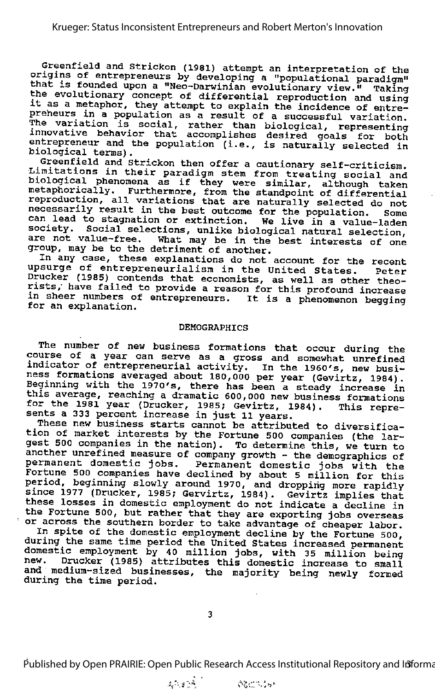Greenfield and Stricken (1981) attempt an interpretation of the origins of entrepreneurs by developing a "populational paradigm"<br>that is founded upon a "Neo-Darwinian evolutionary view." Taking<br>the evolutionary concept of differential reproduction and using<br>it as a metaphor, they attem The variation is social, rather than biological, representing<br>innovative behavior that accomplishes desired goals for both entrepreneur and the population (i.e., is naturally selected in biological terms).

Greenfield and Strickon then offer a cautionary self-criticism. Limitations in their paradigm stem from treating social and bimitations in their paradigm stem from treating social and<br>biological phenomena as if they were similar, although taken metaphorically. Furthermore, from the similar, although taken<br>metaphorically. Furthermore, from the standpoint of differential moduphoricarry. Funchermore, from the standpoint of differential<br>reproduction, all variations that are naturally selected do not necessarily result in the best outcome for the population. Some can lead to stagnation or extinction. We live in a value-laden society. Social selections, unlike biological natural selection, are not value-free. What may be in the best interests of one group, may be to the detriment of another.

In any case, these explanations do not account for the recent upsurge of entrepreneurialism in the United States. Peter Drucker (1985) contends that economists, as well as other theo rists, have failed to provide a reason for this profound increase in sheer numbers of entrepreneurs. it is a phenomenon begqinq for an explanation.

#### DEMOGRAPHICS

The number of new business formations that occur during the course of a year can serve as a gross and somewhat unrefined indicator of entrepreneurial activity. in the 1960's, new busi ness formations averaged about 180,000 per year (Gevirtz, 1984).<br>Beginning with the 1970's, there has been a steady increase in this average, reaching a dramatic 600,000 new business formations for the 1981 year (Drucker, 1985; Gevirtz, 1984). This repre sents a 333 percent increase in just 11 years.

These new business starts cannot be attributed to diversification of market interests by the Fortune 500 companies (the lar gest 500 companies in the nation). To determine this, we turn to another unrefined measure of company growth - the demographics of permanent domestic jobs. Permanent domestic jobs with the Fortune 500 companies have declined by about 5 million for this period, beginning slowly around 1970, and dropping more rapidly since 1977 (Drucker, 1985; Gervirtz, 1984). Gevirtz implies that these losses in domestic employment do not indicate a decline in the Fortune 500, but rather that they are exporting jobs overseas or across the southern border to take advantage of cheaper labor.

In spite of the domestic employment decline by the Fortune 500, during the same time period the United States increased permanent domestic employment by 40 million jobs, with 35 million being<br>new. Drucker (1985) attributes this domestic increase to small and medium-sized businesses, the majority being newly formed during the time period.

3

Published by Open PRAIRIE: Open Public Research Access Institutional Repository and Informa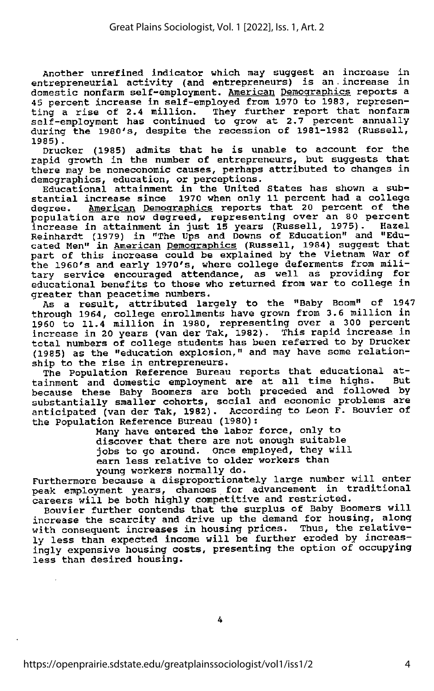Another unrefined indicator which may suggest an increase in<br>entrepreneurial activity (and entrepreneurs) is an increase in domestic nonfarm self-employment. American Demographics reports a 45 percent increase in self-employed from 1970 to 1983, represen ting a rise of 2.4 million. They further report that nonfarm self-employment has continued to grow at 2.7 percent annually during the 1980's, despite the recession of 1981-1982 (Russell, 1985).

Drucker (1985) admits that he is unable to account for the rapid growth in the number of entrepreneurs, but suggests that there may be noneconomic causes, perhaps attributed to changes in demographics, education, or perceptions.

Educational attainment in the United States has shown <sup>a</sup> sub stantial increase since 1970 when only 11 percent had <sup>a</sup> college degree. American Demographics reports that 20 percent of the population are now degreed, representing over an 80 percent increase in attainment in just 15 years (Russell, 1975). Hazel Reinhardt (1979) in "The Ups and Downs of Education" and "Edu cated Men" in <u>American Demographics</u> (Russell, 1984) suggest that part of this increase could be explained by the Vietnam War of the 1960's and early 1970's, where college deferments from mili tary service encouraged attendance, as well as providing for educational benefits to those who returned from war to college in greater than peacetime numbers.

As a result, attributed largely to the "Baby Boom" of 1947 through 1964, college enrollments have grown from 3.6 million in 1960 to 11.4 million in 1980, representing over <sup>a</sup> 300 percent increase in 20 years (van der Tak, 1982). This rapid increase in total numbers of college students has been referred to by Drucker (1985) as the "education explosion," and may have some relation ship to the rise in entrepreneurs.

The Population Reference Bureau reports that educational at tainment and domestic employment are at all time highs. But because these Baby Boomers are both preceded and followed by substantially smaller cohorts, social and economic problems are anticipated (van der Tak, 1982). According to Leon F. Bouvier of the Population Reference Bureau (1980):

Many have entered the labor force, only to discover that there are not enough suitable jobs to go around. Once employed, they will earn less relative to older workers than young workers normally do.

Furthermore because a disproportionately large number will enter peak employment years, chances for advancement in traditional careers will be both highly competitive and restricted.

Bouvier further contends that the surplus of Baby Boomers will increase the scarcity and drive up the demand for housing, along with consequent increases in housing prices. Thus, the relative ly less than expected income will be further eroded by increas ingly expensive housing costs, presenting the option of occupying less than desired housing.

4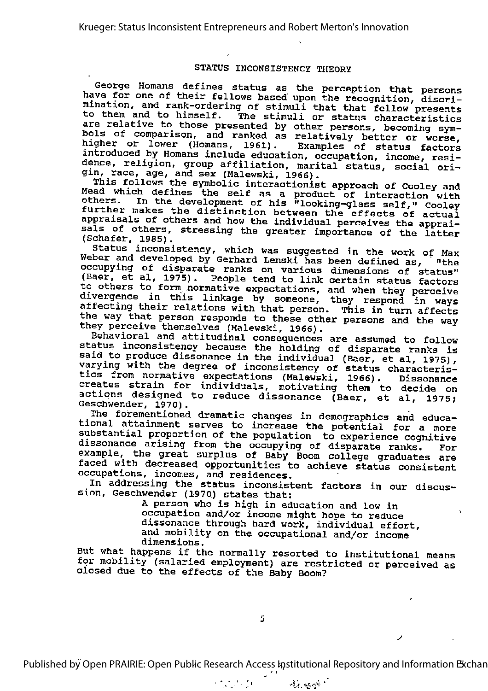Krueger: Status Inconsistent Entrepreneurs and Robert Merton's Innovation

### STATUS INCONSISTENCY THEORY

George Homans defines status as the perception that persons have for one of their fellows based upon the recognition, discri mination, and rank-ordering of stimuli that that fellow presents to them and to himself. The stimuli or status characteristics are relative to those presented by other persons, becoming sym-<br>bols of comparison, and ranked as relatively better or worse, higher or lower (Homans, 1961). Examples of status factors introduced by Homans include education, occupation, income, resi dence, religion, group affiliation, marital status, social ori-

gin, race, age, and sex (Malewski, 1966).<br>This follows the symbolic interactionist approach of Cooley and<br>This follows the symbolic interactionist approach of Cooley and This forlows the symbolic interactionist approach of Cooley and<br>Mead which defines the self as a product of interaction with others. In the development of his "looking-glass self," Coolev eships. The distribution of his "looking-glass self," Cooley<br>further makes the distinction between the effects of actual appraisals of others and how the individual perceives the appraisals of others, stressing the greater importance of the latter<br>(Schafer, 1985).

Status inconsistency, which was suggested in the work of Max Weber and developed by Gerhard Lenski has been defined as, "the occupying of disparate ranks on various dimensions of status" (Baer, et al, 1975). People tend to link certain status factors to others to form normative expectations, and when they perceive divergence in this linkage by someone, they respond in ways<br>affecting their relations with that person. This in turn affects the way that person responds to these other persons and the way they perceive themselves (Malewski, 1966).

Behavioral and attitudinal consequences are assumed to follow status inconsistency because the holding of disparate ranks is said to produce dissonance in the individual (Baer, et al, 1975), varying with the degree of inconsistency of status characteris The first file degree of inconsistency or status characteris-<br>tics from normative expectations (Malewski, 1966). Dissonance ---- from normative expectations (malewski, 1966). Dissonance<br>creates strain for individuals, motivating them to decide on actions designed to reduce dissonance (Baer, et al, 1975; Geschwender, 1970).

The forementioned dramatic changes in demographics and educa tional attainment serves to increase the potential for a more substantial proportion of the population to experience cognitive dissonance arising from the occupying of disparate ranks. For example, the great surplus of Baby Boom college graduates are faced with decreased opportunities to achieve status consistent occupations, incomes, and residences.

In addressing the status inconsistent factors in our discus sion, Geschwender (1970) states that:

<sup>A</sup> person who is high in education and low in occupation and/or income might hope to reduce dissonance through hard work, individual effort, and mobility on the occupational and/or income dimensions.

But what happens if the normally resorted to institutional means for mobility (salaried employment) are restricted or perceived as closed due to the effects of the Baby Boom?

5

Published by Open PRAIRIE: Open Public Research Access mstitutional Repository and Information Exchan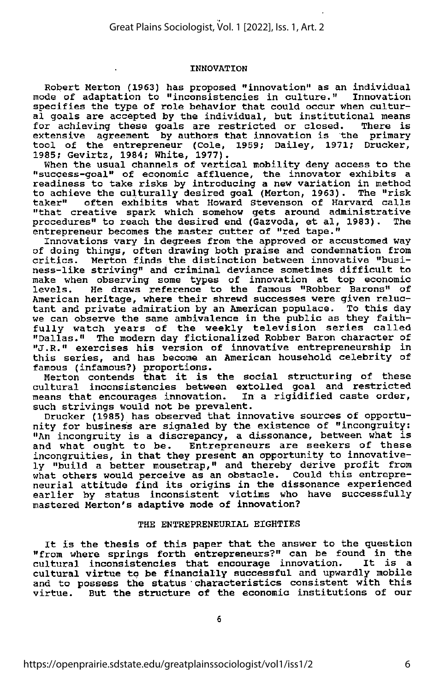#### INNOVATION

Robert Herton (1963) has proposed "innovation" as an individual mode of adaptation to "inconsistencies in culture." Innovation specifies the type of role behavior that could occur when cultur al goals are accepted by the individual, but institutional means for achieving these goals are restricted or closed. There is extensive agreement by authors that innovation is the primary tool of the entrepreneur (Cole, 1959; Dailey, 1971; Drucker, 1985; Gevirtz, 1984; White, 1977).

When the usual channels of vertical mobility deny access to the "success-goal" of economic affluence, the innovator exhibits <sup>a</sup> readiness to take risks by introducing <sup>a</sup> new variation in method to achieve the culturally desired goal (Merton, 1963). The "risk taker" often exhibits what Howard Stevenson of Harvard calls "that creative spark which somehow gets around administrative procedures" to reach the desired end (Gazvoda, et al, 1983). The entrepreneur becomes the master cutter of "red tape."

Innovations vary in degrees from the approved or accustomed way of doing things, often drawing both praise and condemnation from critics. Merton finds the distinction between innovative "busi ness-like striving" and criminal deviance sometimes difficult to make when observing some types of innovation at top economic levels. He draws reference to the famous "Robber Barons" of American heritage, where their shrewd successes were given reluc tant and private admiration by an American populace. To this day we can observe the same ambivalence in the public as they faith fully watch years of the weekly television series called "Dallas." The modern day fictionalized Robber Baron character of "J.R." exercises his version of innovative entrepreneurship in this series, and has become an American household celebrity of

famous (infamous?) proportions. Merton contends that it is the social structuring of these cultural inconsistencies between extolled goal and restricted means that encourages innovation. In <sup>a</sup> rigidified caste order, such strivings would not be prevalent.

Drucker (1985) has observed that innovative sources of opportu nity for business are signaled by the existence of "incongruity: "An incongruity is a discrepancy, a dissonance, between what is and what ought to be. Entrepreneurs are seekers of these incongruities, in that they present an opportunity to innovatively "build a better mousetrap," and thereby derive profit from what others would perceive as an obstacle. Could this entrepre neurial attitude find its origins in the dissonance experienced earlier by status inconsistent victims who have successfully mastered Merton's adaptive mode of innovation?

### THE ENTREPRENEURIAL EIGHTIES

It is the thesis of this paper that the answer to the question "from where springs forth entrepreneurs?" can be found in the cultural inconsistencies that encourage innovation. It is^ a cultural virtue to be financially successful and upwardly mobile and to possess the status "characteristics consistent with this virtue. But the structure of the economic institutions of our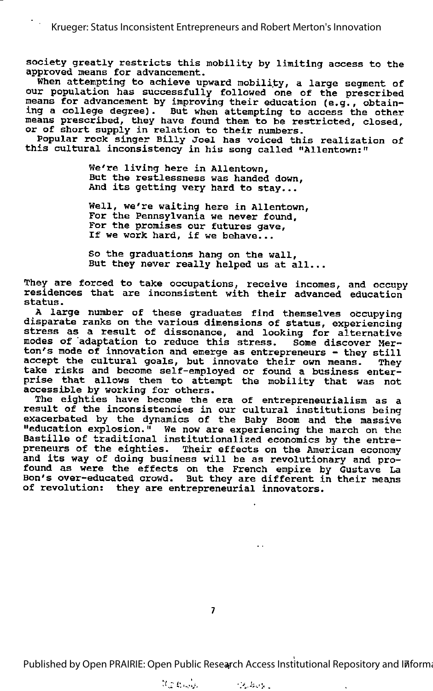society greatly restricts this mobility by limiting access to the approved means for advancement.

When attempting to achieve upward mobility, a large segment of our population has successfully followed one of the prescribed means for advancement by improving their education (e.g., obtain means for advancement by improving their education (e.g., obtaining a college degree). But when attempting to access the other means prescribed, they have found them to be restricted, closed, or of short supply in relation

Popular rock singer Billy Joel has voiced this realization of this cultural inconsistency in his song called "Allentown:"

> We're living here in Allentown, But the restlessness was handed down. And its getting very hard to stay...

Well, we're waiting here in Allentown, For the Pennsylvania we never found, For the promises our futures gave. If we work hard, if we behave...

So the graduations hang on the wall. But they never really helped us at all...

They are forced to take occupations, receive incomes, and occupy residences that are inconsistent with their advanced education status.

A large number of these graduates find themselves occupying stress as a result of dissonance, and looking for alternative modes of 'adaptation to reduce this stress. Some discover Merton's mode of innovation and emerge as entrepreneurs - they still accept the cultural goals, but innovate their own means. They take risks and become self-employed or found a business enter prise that allows them to attempt the mobility that was not accessible by working for others.

The eighties have become the era of entrepreneurialism as a The dignesses have second the era of entrepreneurialism as a exacerbated by the dynamics of the Baby Boom and the massive "education explosion." We now are experiencing the march on the Bastille of traditional institutionalized economics by the entre preneurs of the eighties. Their effects on the American economy and its way of doing business will be as revolutionary and profound as were the effects on the French empire by Gustave La Bon's over-educated crowd. But they are different in their means of revolution! they are entrepreneurial innovators.

 $\overline{\mathbf{z}}$ 

Published by Open PRAIRIE: Open Public Research Access Institutional Repository and Informa

 $A_{12}$  ( $B_{12}$  and )

**College Street**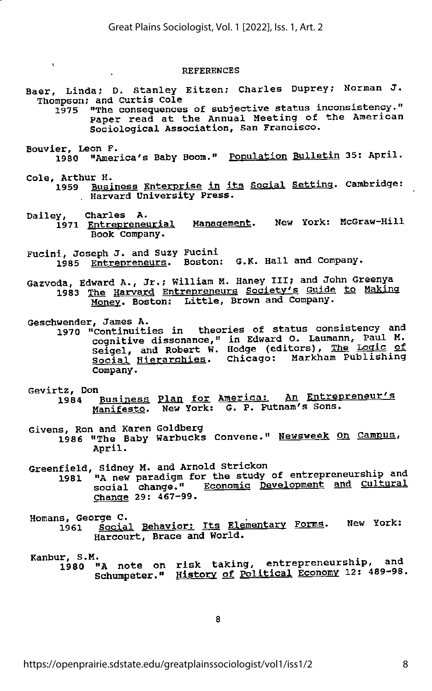#### REFERENCES

- Baer, Linda; D. Stanley Eitzen; Charles Duprey; Norman J.<br>Thompson; and Curtis Cole
- The consequences of subjective status inconsistency."<br>Paper read at the Annual Meeting of the American Sociological Association, San Francisco. Baer, Linda; D. Stanley Eltzen; Charles Bapter, Normann 9:<br>
Thompson; and Curtis Cole<br>
1975 "The consequences of subjective status inconsistency."<br>
Paper read at the Annual Meeting of the Americar<br>
Sociological Association
- 
- 
- Cole, Arthur H.<br>1959 <u>Business</u> Enterprise in its Social Setting. Cambridge: Harvard University Press.
- Dailey, Charles A. 1971 Entrepreneurial Management. New York: McGraw-Hill Book Company.
- Fucini, Joseph J. and Suzy Fucini<br>1985 Entrepreneurs. Boston: Boston: G.K. Hall and Company.
- Gazvoda, Edward A., Jr.; William M. Haney III; and John Greenya 1983 The Harvard Entrepreneurs Society's Guide to Making Money. Boston: Little, Brown and Company.
- 
- Geschwender, James A.<br>1970 "Continuities in theories of status consistency and cognitive dissonance," in Edward O. Laumann, Paul M. seigel, and Robert W. Hodge (editors), The Logic of Social Hierarchies. Chicago: Markham Publishing Company.
- $Gevirtz$ , Don  $\begin{bmatrix} 1 & 0 & 0 \\ 0 & 0 & 0 \end{bmatrix}$ 1984 Business Plan for America: An Entrepreneur's Manifesto. New York: G. P. Putnam's Sons.
- Givens, Ron and Karen Goldberg<br>1986 "The Baby Warbucks Convene." Newsweek On Campus, April.
- 
- Greenfield, Sidney M. and Arnold Strickon<br>1981 "A new paradigm for the study "A new paradigm for the study of entrepreneurship and social change." Economic Development and Cultural Change 29: 467-99.
- Homans, George C.<br>1961 <u>Social Behavior: Its Elementary Forms</u>. New York: Harcourt, Brace and World.

Kanbur, S.M.<br>1980 "A note on risk taking, entrepreneurship, and Schumpeter." History of Political Economy 12: 489-98.

8